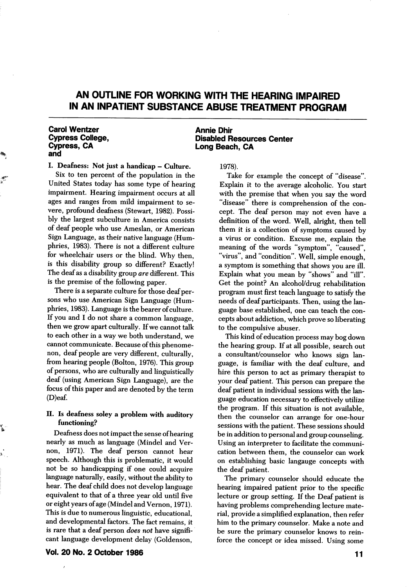# AN OUTLINE FOR WORKING WITH THE HEARING IMPAIRED IN AN INPATIENT SUBSTANCE ABUSE TREATMENT PROGRAM

#### Carol Wentzer Cypress College, Cypress, CA and

I. Deafness: Not just a handicap - Culture.

Six to ten percent of the population in the United States today has some type of hearing impairment. Hearing impairment occurs at all ages and ranges from mild impairment to se vere, profound deafness (Stewart, 1982). Possibly the largest subculture in America consists of deaf people who use Ameslan, or American Sign Language, as their native language (Hum phries, 1983). There is not a different culture for wheelchair users or the blind. Why then, is this disability group so different? Exactly! The deaf as a disability group are different. This is the premise of the following paper.

There is a separate culture for those deaf per sons who use American Sign Language (Hum phries, 1983). Language is the bearer of culture. If you and I do not share a common language, then we grow apart culturally. If we cannot talk to each other in a way we both understand, we cannot communicate. Because of this phenome non, deaf people are very different, culturally, from hearing people (Bolton, 1976). This group of persons, who are culturally and linguistically deaf (using American Sign Language), are the focus of this paper and are denoted by the term (D)eaf.

#### II. Is deafness soley a problem with auditory functioning?

Deafness does not impact the sense of hearing nearly as much as language (Mindel and Vernon, 1971). The deaf person cannot hear speech. Although this is problematic, it would not be so handicapping if one could acquire language naturally, easily, without the ability to hear. The deaf child does not develop language equivalent to that of a three year old until five or eight years of age (Mindel and Vernon, 1971). This is due to numerous linguistic, educational, and developmental factors. The fact remains, it is rare that a deaf person does not have significant language development delay (Goldenson,

Annie Dhir Disabled Resources Center Long Beach, CA

1978).

Take for example the concept of "disease". Explain it to the average alcoholic. You start with the premise that when you say the word "disease" there is comprehension of the con cept. The deaf person may not even have a definition of the word. Well, alright, then tell them it is a collection of symptoms caused by a virus or condition. Excuse me, explain the meaning of the words "symptom", "caused", "virus", and "condition". Well, simple enough, a symptom is something that shows you are ill. Explain what you mean by "shows" and "ill". Get the point? An alcohol/drug rehabilitation program must first teach language to satisfy the needs of deaf participants. Then, using the lan guage base established, one can teach the con cepts about addiction, which prove so liberating to the compulsive abuser.

This kind of education process may bog down the hearing group. If at all possible, search out a consultant/counselor who knows sign lan guage, is familiar with the deaf culture, and hire this person to act as primary therapist to your deaf patient. This person can prepare the deaf patient in individual sessions with the lan guage education necessary to effectively utilize the program. If this situation is not available, then the counselor can arrange for one-hour sessions with the patient. These sessions should be in addition to personal and group counseling. Using an interpreter to facilitate the communi cation between them, the counselor can work on establishing basic langauge concepts with the deaf patient.

The primary counselor should educate the hearing impaired patient prior to the specific lecture or group setting. If the Deaf patient is having problems comprehending lecture mate rial, provide a simplified explanation, then refer him to the primary counselor. Make a note and be sure the primary counselor knows to rein force the concept or idea missed. Using some

Vol. 20 No. 2 October 1986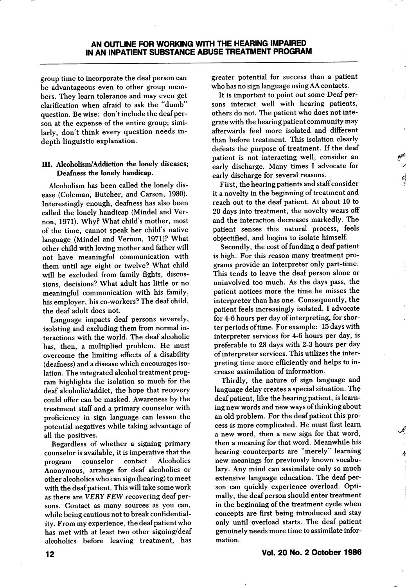group time to incorporate the deaf person can be advantageous even to other group mem bers. They learn tolerance and may even get clarification when afraid to ask the "dumb" question. Be wise: don't include the deaf person at the expense of the entire group; simi larly, don't think every question needs indepth linguistic explanation.

#### III. Alcoholism/Addiction the lonely diseases; Deafness the lonely handicap.

Alcoholism has been called the lonely dis ease (Coleman, Butcher, and Carson, 1980). Interestingly enough, deafness has also been called the lonely handicap (Mindel and Vernon, 1971). Why? What child's mother, most of the time, cannot speak her child's native language (Mindel and Vernon, 1971)? What other child with loving mother and father will not have meaningful communication with them until age eight or twelve? What child will be excluded from family fights, discus sions, decisions? What adult has little or no meaningful communication with his family, his employer, his co-workers? The deaf child, the deaf adult does not.

Language impacts deaf persons severely, isolating and excluding them from normal in teractions with the world. The deaf alcoholic has, then, a multiplied problem. He must overcome the limiting effects of a disability (deafness) and a disease which encourages iso lation. The integrated alcohol treatment prog ram highlights the isolation so much for the deaf alcoholic/addict, the hope that recovery could offer can be masked. Awareness by the treatment staff and a primary counselor with proficiency in sign language can lessen the potential negatives while taking advantage of all the positives.

Regardless of whether a signing primary counselor is available, it is imperative that the program counselor contact Alcoholics Anonymous, arrange for deaf alcoholics or other alcoholics who can sign (hearing) to meet with the deaf patient. This will take some work as there are VERY FEW recovering deaf per sons. Contact as many sources as you can, while being cautious not to break confidential ity. From my experience, the deaf patient who has met with at least two other signing/deaf alcoholics before leaving treatment, has greater potential for success than a patient who has no sign language using AA contacts.

It is important to point out some Deaf per sons interact well with hearing patients, others do not. The patient who does not inte grate with the hearing patient community may afterwards feel more isolated and different than before treatment. This isolation clearly defeats the purpose of treatment. If the deaf patient is not interacting well, consider an early discharge. Many times I advocate for early discharge for several reasons.

First, the hearing patients and staff consider it a novelty in the beginning of treatment and reach out to the deaf patient. At about 10 to 20 days into treatment, the novelty wears off and the interaction decreases markedly. The patient senses this natural process, feels objectified, and begins to isolate himself.

Secondly, the cost of funding a deaf patient is high. For this reason many treatment pro grams provide an interpreter only part-time. This tends to leave the deaf person alone or uninvolved too much. As the days pass, the patient notices more the time he misses the interpreter than has one. Consequently, the patient feels increasingly isolated. I advocate for 4-6 hours per day of interpreting, for shor ter periods of time. For example: 15 days with interpreter services for 4-6 hours per day, is preferable to 28 days with 2-3 hours per day of interpreter services. This utilizes the inter preting time more efficiently and helps to in crease assimilation of information.

Thirdly, the nature of sign language and language delay creates a special situation. The deaf patient, like the hearing patient, is learn ing new words and new ways of thinking about an old problem. For the deaf patient this pro cess is more complicated. He must first learn a new word, then a new sign for that word, then a meaning for that word. Meanwhile his hearing counterparts are "merely" learning new meanings for previously known vocabu lary. Any mind can assimilate only so much extensive language education. The deaf per son can quickly experience overload. Opti mally, the deaf person should enter treatment in the beginning of the treatment cycle when concepts are first being introduced and stay only until overload starts. The deaf patient genuinely needs more time to assimilate infor mation.

Vol. 20 No. 2 October 1986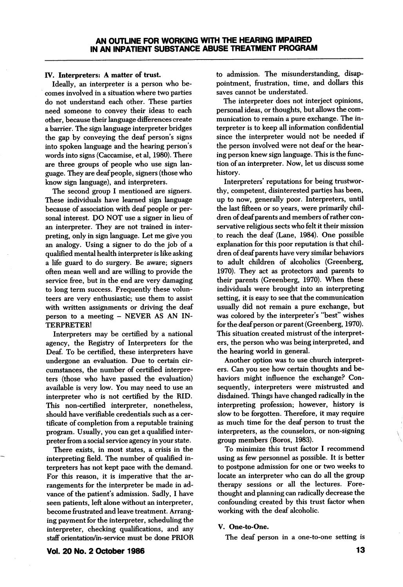#### IV. Interpreters: A matter of trust.

Ideally, an interpreter is a person who be comes involved in a situation where two parties do not understand each other. These parties need someone to convey their ideas to each other, because their language differences create a barrier. The sign language interpreter bridges the gap by conveying the deaf person's signs into spoken language and the hearing person's words into signs (Caccamise, et al, 1980). There are three groups of people who use sign lan guage. They are deaf people, signers (those who know sign language), and interpreters.

The second group I mentioned are signers. These individuals have learned sign language because of association with deaf people or per sonal interest. DO NOT use a signer in lieu of an interpreter. They are not trained in inter preting, only in sign language. Let me give you an analogy. Using a signer to do the job of a qualified mental health interpreter is like asking a life guard to do surgery. Be aware; signers often mean well and are willing to provide the service free, but in the end are very damaging to long term success. Frequently these volun teers are very enthusiastic; use them to assist with written assignments or driving the deaf person to a meeting - NEVER AS AN IN TERPRETER!

Interpreters may be certified by a national agency, the Registry of Interpreters for the Deaf. To be certified, these interpreters have undergone an evaluation. Due to certain cir cumstances, the number of certified interpre ters (those who have passed the evaluation) available is very low. You may need to use an interpreter who is not certified by the RID. This non-certified interpreter, nonetheless, should have verifiable credentials such as a cer tificate of completion from a reputable training program. Usually, you can get a qualified inter preter from a social service agency in your state.

There exists, in most states, a crisis in the interpreting field. The number of qualified in terpreters has not kept pace with the demand. For this reason, it is imperative that the ar rangements for the interpreter be made in ad vance of the patient's admission. Sadly, I have seen patients, lefl alone without an interpreter, become frustrated and leave treatment. Arrang ing payment for the interpreter, scheduling the interpreter, checking qualifications, and any staff orientation/in-service must be done PRIOR to admission. The misunderstanding, disap pointment, frustration, time, and dollars this saves cannot be understated.

The interpreter does not interject opinions, personal ideas, or thoughts, but allows the com munication to remain a pure exchange. The in terpreter is to keep all information confidential since the interpreter would not be needed if the person involved were not deaf or the hear ing person knew sign language. This is the func tion of an interpreter. Now, let us discuss some history.

Interpreters' reputations for being trustwor thy, competent, disinterested parties has been, up to now, generally poor. Interpreters, until the last fifteen or so years, were primarily chil dren of deaf parents and members of rather con servative religious sects who felt it their mission to reach the deaf (Lane, 1984). One possible explanation for this poor reputation is that chil dren of deaf parents have very similar behaviors to adult children of alcoholics (Greenberg, 1970). They act as protectors and parents to their parents (Greenberg, 1970). When these individuals were brought into an interpreting setting, it is easy to see that the communication usually did not remain a pure exchange, but was colored by the interpreter's "best" wishes for the deaf person or parent (Greenberg, 1970). This situation created mistrust of the interpret ers, the person who was being interpreted, and the hearing world in general.

Another option was to use church interpret ers. Gan you see how certain thoughts and be haviors might influence the exchange? Con sequently, interpreters were mistrusted and disdained. Things have changed radically in the interpreting profession; however, history is slow to be forgotten. Therefore, it may require as much time for the deaf person to trust the interpreters, as the counselors, or non-signing group members (Boros, 1983).

To minimize this trust factor I recommend using as few personnel as possible. It is better to postpone admission for one or two weeks to locate an interpreter who can do all the group therapy sessions or all the lectures. Fore thought and planning can radically decrease the confounding created by this trust factor when working with the deaf alcoholic.

#### V. One-to-One.

The deaf person in a one-to-one setting is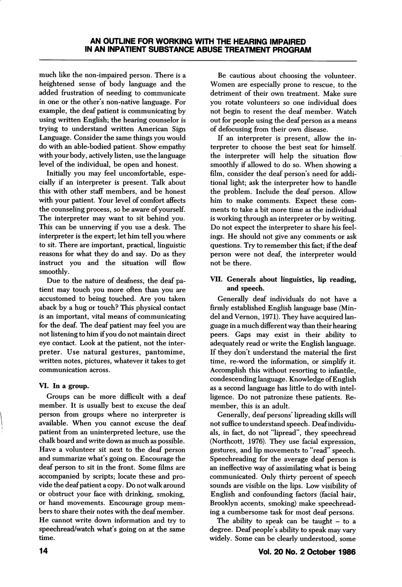much like the non-impaired person. There is a heightened sense of body language and the added frustration of needing to communicate in one or the other's non-native language. For example, the deaf patient is communicating by using written English; the hearing counselor is trying to understand written American Sign Language. Consider the same things you would do with an able-bodied patient. Show empathy with your body, actively listen, use the language level of the individual, be open and honest.

Initially you may feel uncomfortable, espe cially if an interpreter is present. Talk about this with other staff members, and be honest with your patient. Your level of comfort affects the counseling process, so be aware of yourself. The interpreter may want to sit behind you. This can be unnerving if you use a desk. The interpreter is the expert; let him tell you where to sit. There are important, practical, linguistic reasons for what they do and say. Do as they instruct you and the situation will flow smoothly.

Due to the nature of deafness, the deaf pa tient may touch you more often than you are accustomed to being touched. Are you taken aback by a hug or touch? This physical contact is an important, vital means of communicating for the deaf. The deaf patient may feel you are not listening to him if you do not maintain direct eye contact. Look at the patient, not the inter preter. Use natural gestures, pantomime, written notes, pictures, whatever it takes to get communication across.

## VI. In a group.

Groups can be more difficult with a deaf member. It is usually best to excuse the deaf person from groups where no interpreter is available. When you cannot excuse the deaf patient from an uninterpreted lecture, use the chalk board and write down as much as possible. Have a volunteer sit next to the deaf person and summarize what's going on. Encourage the deaf person to sit in the front. Some films are accompanied by scripts; locate these and pro vide the deaf patient a copy. Do not walk around or obstruct your face with drinking, smoking, or hand movements. Encourage group mem bers to share their notes with the deaf member. He cannot write down information and try to speechread/watch what's going on at the same time.

Be cautious about choosing the volunteer. Women are especially prone to rescue, to the detriment of their own treatment. Make sure you rotate volunteers so one individual does not begin to resent the deaf member. Watch out for people using the deaf person as a means of defocusing from their own disease.

If an interpreter is present, allow the in terpreter to choose the best seat for himself, the interpreter will help the situation flow smoothly if allowed to do so. When showing a film, consider the deaf person's need for addi tional light; ask the interpreter how to handle the problem. Include the deaf person. Allow him to make comments. Expect these com ments to take a bit more time as the individual is working through an interpreter or by writing. Do not expect the interpreter to share his feel ings. He should not give any comments or ask questions. Try to remember this fact; if the deaf person were not deaf, the interpreter would not be there.

# VII. Generals about linguistics, lip reading, and speech.

Generally deaf individuals do not have a firmly established English language base (Mindel and Vernon, 1971). They have acquired lan guage in a much different way than their hearing peers. Gaps may exist in their ability to adequately read or write the English language. If they don't understand the material the first time, re-word the information, or simplify it. Accomplish this without resorting to infantile, condescending language. Knowledge of English as a second language has little to do with intel ligence. Do not patronize these patients. Re member, this is an adult.

Generally, deaf persons' lipreading skills will not suffice to understand speech. Deaf individu als, in fact, do not "lipread", they speechread (Northcott, 1976). They use facial expression, gestures, and lip movements to "read" speech. Speechreading for the average deaf person is an ineffective way of assimilating what is being communicated. Only thirty percent of speech sounds are visible on the lips. Low visibility of English and confounding factors (facial hair, Brooklyn accents, smoking) make speechread ing a cumbersome task for most deaf persons.

The ability to speak can be taught  $-$  to a degree. Deaf people's ability to speak may vary widely. Some can be clearly understood, some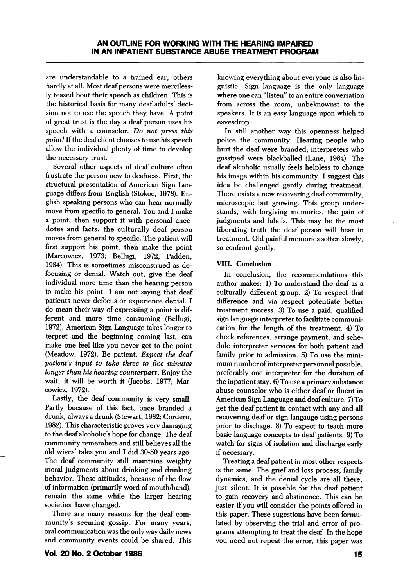are understandable to a trained ear, others hardly at all. Most deaf persons were merciless ly teased bout their speech as children. This is the historical basis for many deaf adults' deci sion not to use the speech they have. A point of great trust is the day a deaf person uses his speech with a counselor. Do not press this point! If the deaf client chooses to use his speech allow the individual plenty of time to develop the necessary trust.

Several other aspects of deaf culture often frustrate the person new to deafness. First, the structural presentation of American Sign Lan guage differs from English (Stokoe, 1978). En glish speaking persons who can hear normally move from specific to general. You and I make a point, then support it with personal anec dotes and facts, the culturally deaf person moves from general to specific. The patient will first support his point, then make the point (Marcowicz, 1973; Bellugi, 1972, Padden, 1984). This is sometimes misconstrued as defocusing or denial. Watch out, give the deaf individual more time than the hearing person to make his point. 1 am not saying that deaf patients never defocus or experience denial. 1 do mean their way of expressing a point is dif ferent and more time consuming (Bellugi, 1972). American Sign Language takes longer to terpret and the beginning coming last, can make one feel like you never get to the point (Meadow, 1972). Be patient. Expect the deaf patient's input to take three to five minutes longer than his hearing counterpart. Enjoy the wait, it will be worth it (Jacobs, 1977; Mar cowicz, 1972).

Lastly, the deaf community is very small. Partly because of this fact, once branded a drunk, always a drunk (Stewart, 1982; Cordero, 1982). This characteristic proves very damaging to the deaf alcoholic's hope for change. The deaf community remembers and still believes all the old wives' tales you and 1 did 30-50 years ago. The deaf community still maintains weighty moral judgments about drinking and drinking behavior. These attitudes, because of the flow of information (primarily word of mouth/hand), remain the same while the larger hearing societies' have changed.

There are many reasons for the deaf community's seeming gossip. For many years, oral communication was the only way daily news and community events could be shared. This

knowing everything about everyone is also lin guistic. Sign language is the only language where one can "listen" to an entire conversation from across the room, unbeknownst to the speakers. It is an easy language upon which to eavesdrop.

In still another way this openness helped police the community. Hearing people who hurt the deaf were branded; interpreters who gossiped were blackballed (Lane, 1984). The deaf alcoholic usually feels helpless to change his image within his community. 1 suggest this idea be challenged gently during treatment. There exists a new recovering deaf community, microscopic but growing. This group under stands, with forgiving memories, the pain of judgments and labels. This may be the most liberating truth the deaf person will hear in treatment. Old painful memories soften slowly, so confront gently.

## VIII. Conclusion

In conclusion, the recommendations this author makes: 1) To understand the deaf as a culturally different group. 2) To respect that difference and via respect potentiate better treatment success. 3) To use a paid, qualified sign language interpreter to facilitate communi cation for the length of the treatment. 4) To check references, arrange payment, and sche dule interpreter services for both patient and family prior to admission. 5) To use the mini mum number of interpreter personnel possible, preferably one interpreter for the duration of the inpatient stay. 6) To use a primary substance abuse counselor who is either deaf or fluent in American Sign Language and deaf culture. 7) To get the deaf patient in contact with any and all recovering deaf or sign langauge using persons prior to dischage. 8) To expect to teach more basic language concepts to deaf patients. 9) To watch for signs of isolation and discharge early if necessary.

Treating a deaf patient in most other respects is the same. The grief and loss process, family dynamics, and the denial cycle are all there, just silent. It is possible for the deaf patient to gain recovery and abstinence. This can be easier if you will consider the points offered in this paper. These sugestions have been formu lated by observing the trial and error of pro grams attempting to treat the deaf. In the hope you need not repeat the error, this paper was